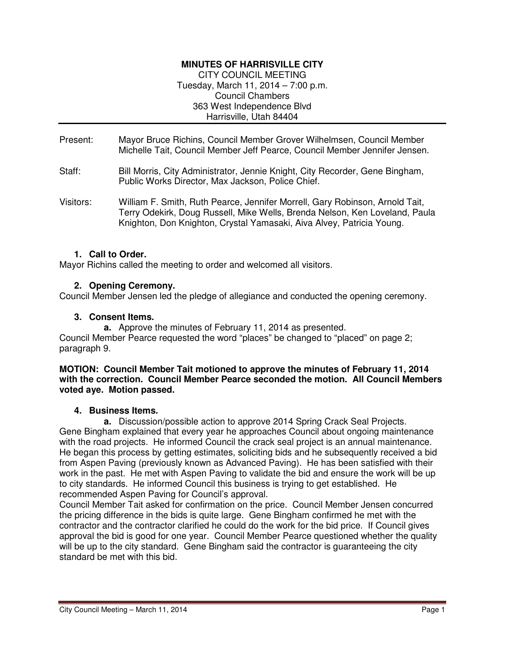## **MINUTES OF HARRISVILLE CITY**

CITY COUNCIL MEETING Tuesday, March 11, 2014 – 7:00 p.m. Council Chambers 363 West Independence Blvd Harrisville, Utah 84404

- Present: Mayor Bruce Richins, Council Member Grover Wilhelmsen, Council Member Michelle Tait, Council Member Jeff Pearce, Council Member Jennifer Jensen.
- Staff: Bill Morris, City Administrator, Jennie Knight, City Recorder, Gene Bingham, Public Works Director, Max Jackson, Police Chief.
- Visitors: William F. Smith, Ruth Pearce, Jennifer Morrell, Gary Robinson, Arnold Tait, Terry Odekirk, Doug Russell, Mike Wells, Brenda Nelson, Ken Loveland, Paula Knighton, Don Knighton, Crystal Yamasaki, Aiva Alvey, Patricia Young.

#### **1. Call to Order.**

Mayor Richins called the meeting to order and welcomed all visitors.

#### **2. Opening Ceremony.**

Council Member Jensen led the pledge of allegiance and conducted the opening ceremony.

#### **3. Consent Items.**

**a.** Approve the minutes of February 11, 2014 as presented.

Council Member Pearce requested the word "places" be changed to "placed" on page 2; paragraph 9.

#### **MOTION: Council Member Tait motioned to approve the minutes of February 11, 2014 with the correction. Council Member Pearce seconded the motion. All Council Members voted aye. Motion passed.**

#### **4. Business Items.**

**a.** Discussion/possible action to approve 2014 Spring Crack Seal Projects. Gene Bingham explained that every year he approaches Council about ongoing maintenance with the road projects. He informed Council the crack seal project is an annual maintenance. He began this process by getting estimates, soliciting bids and he subsequently received a bid from Aspen Paving (previously known as Advanced Paving). He has been satisfied with their work in the past. He met with Aspen Paving to validate the bid and ensure the work will be up to city standards. He informed Council this business is trying to get established. He recommended Aspen Paving for Council's approval.

Council Member Tait asked for confirmation on the price. Council Member Jensen concurred the pricing difference in the bids is quite large. Gene Bingham confirmed he met with the contractor and the contractor clarified he could do the work for the bid price. If Council gives approval the bid is good for one year. Council Member Pearce questioned whether the quality will be up to the city standard. Gene Bingham said the contractor is guaranteeing the city standard be met with this bid.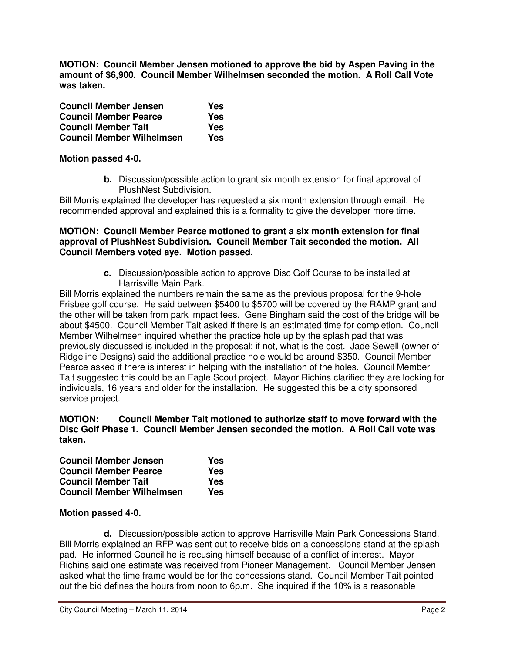**MOTION: Council Member Jensen motioned to approve the bid by Aspen Paving in the amount of \$6,900. Council Member Wilhelmsen seconded the motion. A Roll Call Vote was taken.** 

| <b>Council Member Jensen</b>     | Yes |
|----------------------------------|-----|
| <b>Council Member Pearce</b>     | Yes |
| <b>Council Member Tait</b>       | Yes |
| <b>Council Member Wilhelmsen</b> | Yes |

#### **Motion passed 4-0.**

**b.** Discussion/possible action to grant six month extension for final approval of PlushNest Subdivision.

Bill Morris explained the developer has requested a six month extension through email. He recommended approval and explained this is a formality to give the developer more time.

#### **MOTION: Council Member Pearce motioned to grant a six month extension for final approval of PlushNest Subdivision. Council Member Tait seconded the motion. All Council Members voted aye. Motion passed.**

**c.** Discussion/possible action to approve Disc Golf Course to be installed at Harrisville Main Park.

Bill Morris explained the numbers remain the same as the previous proposal for the 9-hole Frisbee golf course. He said between \$5400 to \$5700 will be covered by the RAMP grant and the other will be taken from park impact fees. Gene Bingham said the cost of the bridge will be about \$4500. Council Member Tait asked if there is an estimated time for completion. Council Member Wilhelmsen inquired whether the practice hole up by the splash pad that was previously discussed is included in the proposal; if not, what is the cost. Jade Sewell (owner of Ridgeline Designs) said the additional practice hole would be around \$350. Council Member Pearce asked if there is interest in helping with the installation of the holes. Council Member Tait suggested this could be an Eagle Scout project. Mayor Richins clarified they are looking for individuals, 16 years and older for the installation. He suggested this be a city sponsored service project.

#### **MOTION: Council Member Tait motioned to authorize staff to move forward with the Disc Golf Phase 1. Council Member Jensen seconded the motion. A Roll Call vote was taken.**

| <b>Council Member Jensen</b>     | Yes |
|----------------------------------|-----|
| <b>Council Member Pearce</b>     | Yes |
| <b>Council Member Tait</b>       | Yes |
| <b>Council Member Wilhelmsen</b> | Yes |

## **Motion passed 4-0.**

**d.** Discussion/possible action to approve Harrisville Main Park Concessions Stand. Bill Morris explained an RFP was sent out to receive bids on a concessions stand at the splash pad. He informed Council he is recusing himself because of a conflict of interest. Mayor Richins said one estimate was received from Pioneer Management. Council Member Jensen asked what the time frame would be for the concessions stand. Council Member Tait pointed out the bid defines the hours from noon to 6p.m. She inquired if the 10% is a reasonable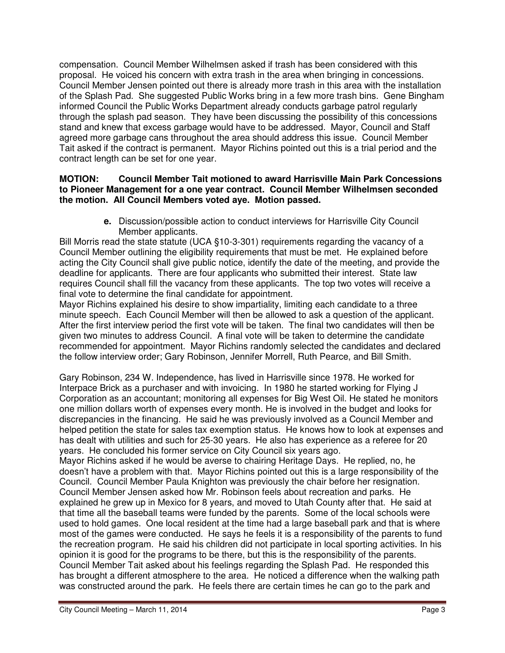compensation. Council Member Wilhelmsen asked if trash has been considered with this proposal. He voiced his concern with extra trash in the area when bringing in concessions. Council Member Jensen pointed out there is already more trash in this area with the installation of the Splash Pad. She suggested Public Works bring in a few more trash bins. Gene Bingham informed Council the Public Works Department already conducts garbage patrol regularly through the splash pad season. They have been discussing the possibility of this concessions stand and knew that excess garbage would have to be addressed. Mayor, Council and Staff agreed more garbage cans throughout the area should address this issue. Council Member Tait asked if the contract is permanent. Mayor Richins pointed out this is a trial period and the contract length can be set for one year.

## **MOTION: Council Member Tait motioned to award Harrisville Main Park Concessions to Pioneer Management for a one year contract. Council Member Wilhelmsen seconded the motion. All Council Members voted aye. Motion passed.**

**e.** Discussion/possible action to conduct interviews for Harrisville City Council Member applicants.

Bill Morris read the state statute (UCA §10-3-301) requirements regarding the vacancy of a Council Member outlining the eligibility requirements that must be met. He explained before acting the City Council shall give public notice, identify the date of the meeting, and provide the deadline for applicants. There are four applicants who submitted their interest. State law requires Council shall fill the vacancy from these applicants. The top two votes will receive a final vote to determine the final candidate for appointment.

Mayor Richins explained his desire to show impartiality, limiting each candidate to a three minute speech. Each Council Member will then be allowed to ask a question of the applicant. After the first interview period the first vote will be taken. The final two candidates will then be given two minutes to address Council. A final vote will be taken to determine the candidate recommended for appointment. Mayor Richins randomly selected the candidates and declared the follow interview order; Gary Robinson, Jennifer Morrell, Ruth Pearce, and Bill Smith.

Gary Robinson, 234 W. Independence, has lived in Harrisville since 1978. He worked for Interpace Brick as a purchaser and with invoicing. In 1980 he started working for Flying J Corporation as an accountant; monitoring all expenses for Big West Oil. He stated he monitors one million dollars worth of expenses every month. He is involved in the budget and looks for discrepancies in the financing. He said he was previously involved as a Council Member and helped petition the state for sales tax exemption status. He knows how to look at expenses and has dealt with utilities and such for 25-30 years. He also has experience as a referee for 20 years. He concluded his former service on City Council six years ago.

Mayor Richins asked if he would be averse to chairing Heritage Days. He replied, no, he doesn't have a problem with that. Mayor Richins pointed out this is a large responsibility of the Council. Council Member Paula Knighton was previously the chair before her resignation. Council Member Jensen asked how Mr. Robinson feels about recreation and parks. He explained he grew up in Mexico for 8 years, and moved to Utah County after that. He said at that time all the baseball teams were funded by the parents. Some of the local schools were used to hold games. One local resident at the time had a large baseball park and that is where most of the games were conducted. He says he feels it is a responsibility of the parents to fund the recreation program. He said his children did not participate in local sporting activities. In his opinion it is good for the programs to be there, but this is the responsibility of the parents. Council Member Tait asked about his feelings regarding the Splash Pad. He responded this has brought a different atmosphere to the area. He noticed a difference when the walking path was constructed around the park. He feels there are certain times he can go to the park and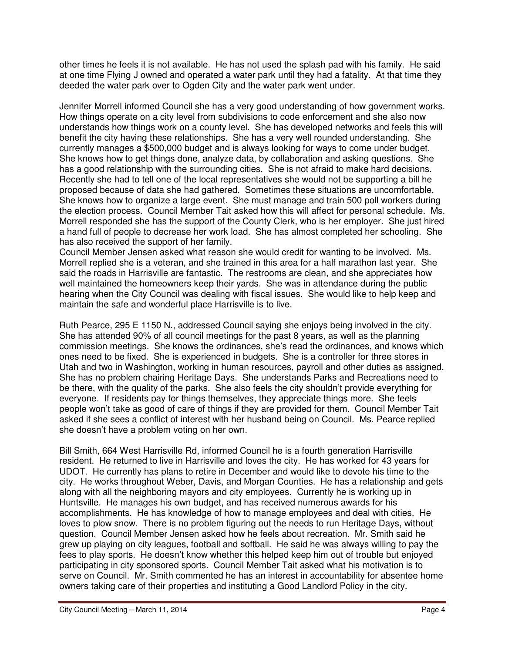other times he feels it is not available. He has not used the splash pad with his family. He said at one time Flying J owned and operated a water park until they had a fatality. At that time they deeded the water park over to Ogden City and the water park went under.

Jennifer Morrell informed Council she has a very good understanding of how government works. How things operate on a city level from subdivisions to code enforcement and she also now understands how things work on a county level. She has developed networks and feels this will benefit the city having these relationships. She has a very well rounded understanding. She currently manages a \$500,000 budget and is always looking for ways to come under budget. She knows how to get things done, analyze data, by collaboration and asking questions. She has a good relationship with the surrounding cities. She is not afraid to make hard decisions. Recently she had to tell one of the local representatives she would not be supporting a bill he proposed because of data she had gathered. Sometimes these situations are uncomfortable. She knows how to organize a large event. She must manage and train 500 poll workers during the election process. Council Member Tait asked how this will affect for personal schedule. Ms. Morrell responded she has the support of the County Clerk, who is her employer. She just hired a hand full of people to decrease her work load. She has almost completed her schooling. She has also received the support of her family.

Council Member Jensen asked what reason she would credit for wanting to be involved. Ms. Morrell replied she is a veteran, and she trained in this area for a half marathon last year. She said the roads in Harrisville are fantastic. The restrooms are clean, and she appreciates how well maintained the homeowners keep their yards. She was in attendance during the public hearing when the City Council was dealing with fiscal issues. She would like to help keep and maintain the safe and wonderful place Harrisville is to live.

Ruth Pearce, 295 E 1150 N., addressed Council saying she enjoys being involved in the city. She has attended 90% of all council meetings for the past 8 years, as well as the planning commission meetings. She knows the ordinances, she's read the ordinances, and knows which ones need to be fixed. She is experienced in budgets. She is a controller for three stores in Utah and two in Washington, working in human resources, payroll and other duties as assigned. She has no problem chairing Heritage Days. She understands Parks and Recreations need to be there, with the quality of the parks. She also feels the city shouldn't provide everything for everyone. If residents pay for things themselves, they appreciate things more. She feels people won't take as good of care of things if they are provided for them. Council Member Tait asked if she sees a conflict of interest with her husband being on Council. Ms. Pearce replied she doesn't have a problem voting on her own.

Bill Smith, 664 West Harrisville Rd, informed Council he is a fourth generation Harrisville resident. He returned to live in Harrisville and loves the city. He has worked for 43 years for UDOT. He currently has plans to retire in December and would like to devote his time to the city. He works throughout Weber, Davis, and Morgan Counties. He has a relationship and gets along with all the neighboring mayors and city employees. Currently he is working up in Huntsville. He manages his own budget, and has received numerous awards for his accomplishments. He has knowledge of how to manage employees and deal with cities. He loves to plow snow. There is no problem figuring out the needs to run Heritage Days, without question. Council Member Jensen asked how he feels about recreation. Mr. Smith said he grew up playing on city leagues, football and softball. He said he was always willing to pay the fees to play sports. He doesn't know whether this helped keep him out of trouble but enjoyed participating in city sponsored sports. Council Member Tait asked what his motivation is to serve on Council. Mr. Smith commented he has an interest in accountability for absentee home owners taking care of their properties and instituting a Good Landlord Policy in the city.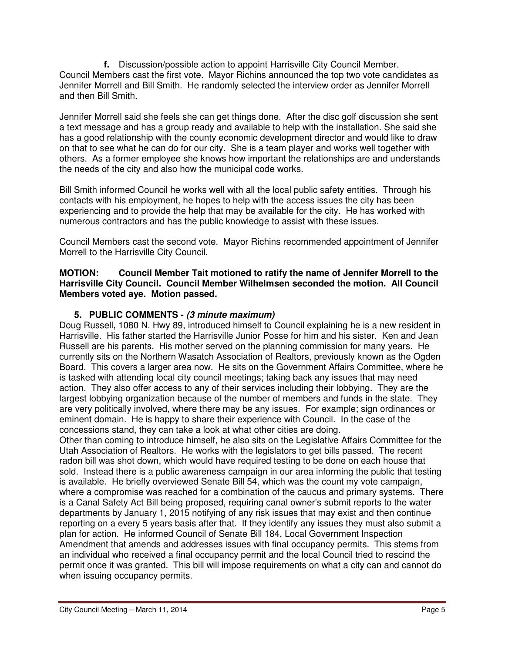**f.** Discussion/possible action to appoint Harrisville City Council Member. Council Members cast the first vote. Mayor Richins announced the top two vote candidates as Jennifer Morrell and Bill Smith. He randomly selected the interview order as Jennifer Morrell and then Bill Smith.

Jennifer Morrell said she feels she can get things done. After the disc golf discussion she sent a text message and has a group ready and available to help with the installation. She said she has a good relationship with the county economic development director and would like to draw on that to see what he can do for our city. She is a team player and works well together with others. As a former employee she knows how important the relationships are and understands the needs of the city and also how the municipal code works.

Bill Smith informed Council he works well with all the local public safety entities. Through his contacts with his employment, he hopes to help with the access issues the city has been experiencing and to provide the help that may be available for the city. He has worked with numerous contractors and has the public knowledge to assist with these issues.

Council Members cast the second vote. Mayor Richins recommended appointment of Jennifer Morrell to the Harrisville City Council.

## **MOTION: Council Member Tait motioned to ratify the name of Jennifer Morrell to the Harrisville City Council. Council Member Wilhelmsen seconded the motion. All Council Members voted aye. Motion passed.**

# **5. PUBLIC COMMENTS - (3 minute maximum)**

Doug Russell, 1080 N. Hwy 89, introduced himself to Council explaining he is a new resident in Harrisville. His father started the Harrisville Junior Posse for him and his sister. Ken and Jean Russell are his parents. His mother served on the planning commission for many years. He currently sits on the Northern Wasatch Association of Realtors, previously known as the Ogden Board. This covers a larger area now. He sits on the Government Affairs Committee, where he is tasked with attending local city council meetings; taking back any issues that may need action. They also offer access to any of their services including their lobbying. They are the largest lobbying organization because of the number of members and funds in the state. They are very politically involved, where there may be any issues. For example; sign ordinances or eminent domain. He is happy to share their experience with Council. In the case of the concessions stand, they can take a look at what other cities are doing.

Other than coming to introduce himself, he also sits on the Legislative Affairs Committee for the Utah Association of Realtors. He works with the legislators to get bills passed. The recent radon bill was shot down, which would have required testing to be done on each house that sold. Instead there is a public awareness campaign in our area informing the public that testing is available. He briefly overviewed Senate Bill 54, which was the count my vote campaign, where a compromise was reached for a combination of the caucus and primary systems. There is a Canal Safety Act Bill being proposed, requiring canal owner's submit reports to the water departments by January 1, 2015 notifying of any risk issues that may exist and then continue reporting on a every 5 years basis after that. If they identify any issues they must also submit a plan for action. He informed Council of Senate Bill 184, Local Government Inspection Amendment that amends and addresses issues with final occupancy permits. This stems from an individual who received a final occupancy permit and the local Council tried to rescind the permit once it was granted. This bill will impose requirements on what a city can and cannot do when issuing occupancy permits.